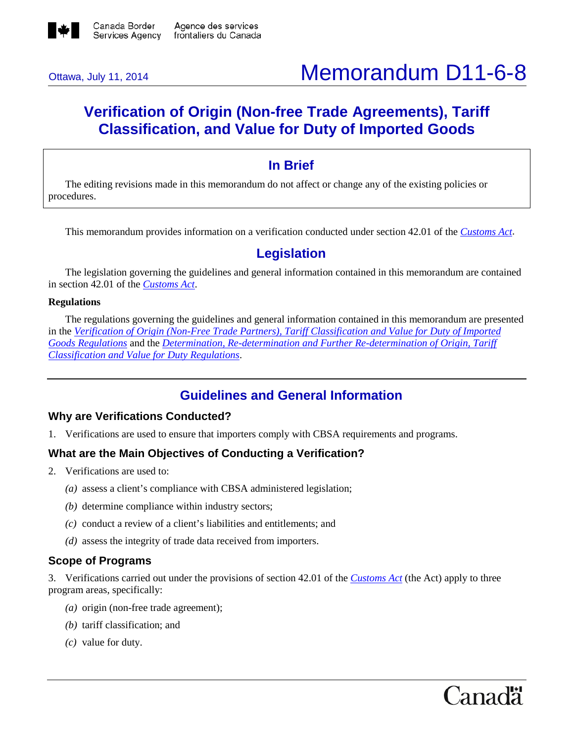

# Ottawa, July 11, 2014 **Memorandum D11-6-8**

## **Verification of Origin (Non-free Trade Agreements), Tariff Classification, and Value for Duty of Imported Goods**

## **In Brief**

The editing revisions made in this memorandum do not affect or change any of the existing policies or procedures.

This memorandum provides information on a verification conducted under section 42.01 of the *[Customs Act](http://laws-lois.justice.gc.ca/eng/acts/C-52.6/FullText.html)*.

### **Legislation**

The legislation governing the guidelines and general information contained in this memorandum are contained in section 42.01 of the *[Customs Act](http://laws-lois.justice.gc.ca/eng/acts/C-52.6/FullText.html)*.

#### **Regulations**

The regulations governing the guidelines and general information contained in this memorandum are presented in the *[Verification of Origin \(Non-Free Trade Partners\), Tariff Classification and Value for Duty of Imported](http://laws-lois.justice.gc.ca/eng/regulations/SOR-98-45/FullText.html)  [Goods Regulations](http://laws-lois.justice.gc.ca/eng/regulations/SOR-98-45/FullText.html)* and the *[Determination, Re-determination and Further Re-determination of Origin, Tariff](http://laws-lois.justice.gc.ca/eng/regulations/SOR-98-44/FullText.html)  [Classification and Value for Duty Regulations](http://laws-lois.justice.gc.ca/eng/regulations/SOR-98-44/FullText.html)*.

## **Guidelines and General Information**

#### **Why are Verifications Conducted?**

1. Verifications are used to ensure that importers comply with CBSA requirements and programs.

#### **What are the Main Objectives of Conducting a Verification?**

- 2. Verifications are used to:
	- *(a)* assess a client's compliance with CBSA administered legislation;
	- *(b)* determine compliance within industry sectors;
	- *(c)* conduct a review of a client's liabilities and entitlements; and
	- *(d)* assess the integrity of trade data received from importers.

#### **Scope of Programs**

3. Verifications carried out under the provisions of section 42.01 of the *[Customs Act](http://laws-lois.justice.gc.ca/eng/acts/C-52.6/FullText.html)* (the Act) apply to three program areas, specifically:

- *(a)* origin (non-free trade agreement);
- *(b)* tariff classification; and
- *(c)* value for duty.

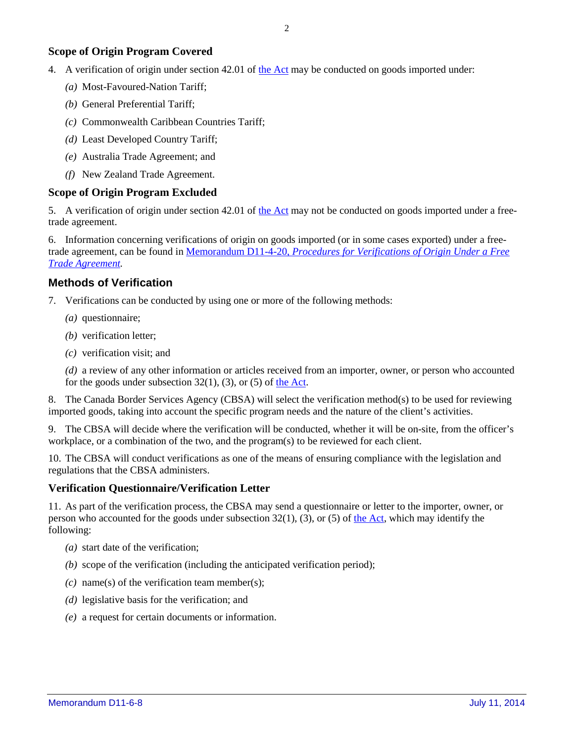#### **Scope of Origin Program Covered**

- 4. A verification of origin under section 42.01 of [the Act](http://laws-lois.justice.gc.ca/eng/acts/C-52.6/FullText.html) may be conducted on goods imported under:
	- *(a)* Most-Favoured-Nation Tariff;
	- *(b)* General Preferential Tariff;
	- *(c)* Commonwealth Caribbean Countries Tariff;
	- *(d)* Least Developed Country Tariff;
	- *(e)* Australia Trade Agreement; and
	- *(f)* New Zealand Trade Agreement.

#### **Scope of Origin Program Excluded**

5. A verification of origin under section 42.01 of [the Act](http://laws-lois.justice.gc.ca/eng/acts/C-52.6/FullText.html) may not be conducted on goods imported under a freetrade agreement.

6. Information concerning verifications of origin on goods imported (or in some cases exported) under a freetrade agreement, can be found in Memorandum D11-4-20, *[Procedures for Verifications of Origin Under a Free](http://www.cbsa-asfc.gc.ca/publications/dm-md/d11/d11-4-20-eng.html)  [Trade Agreement.](http://www.cbsa-asfc.gc.ca/publications/dm-md/d11/d11-4-20-eng.html)*

#### **Methods of Verification**

- 7. Verifications can be conducted by using one or more of the following methods:
	- *(a)* questionnaire;
	- *(b)* verification letter;
	- *(c)* verification visit; and

*(d)* a review of any other information or articles received from an importer, owner, or person who accounted for the goods under subsection  $32(1)$ ,  $(3)$ , or  $(5)$  of [the Act.](http://laws-lois.justice.gc.ca/eng/acts/C-52.6/FullText.html)

8. The Canada Border Services Agency (CBSA) will select the verification method(s) to be used for reviewing imported goods, taking into account the specific program needs and the nature of the client's activities.

9. The CBSA will decide where the verification will be conducted, whether it will be on-site, from the officer's workplace, or a combination of the two, and the program(s) to be reviewed for each client.

10. The CBSA will conduct verifications as one of the means of ensuring compliance with the legislation and regulations that the CBSA administers.

#### **Verification Questionnaire/Verification Letter**

11. As part of the verification process, the CBSA may send a questionnaire or letter to the importer, owner, or person who accounted for the goods under subsection  $32(1)$ ,  $(3)$ , or  $(5)$  of [the Act,](http://laws-lois.justice.gc.ca/eng/acts/C-52.6/FullText.html) which may identify the following:

- *(a)* start date of the verification;
- *(b)* scope of the verification (including the anticipated verification period);
- *(c)* name(s) of the verification team member(s);
- *(d)* legislative basis for the verification; and
- *(e)* a request for certain documents or information.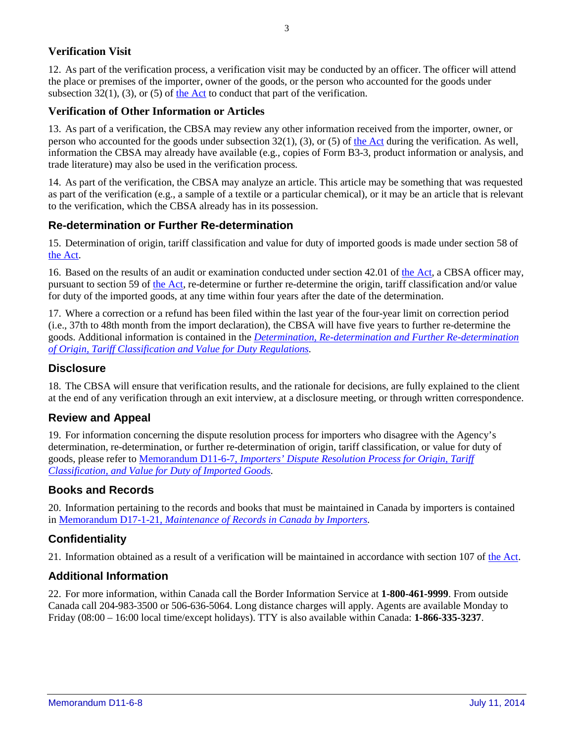#### **Verification Visit**

12. As part of the verification process, a verification visit may be conducted by an officer. The officer will attend the place or premises of the importer, owner of the goods, or the person who accounted for the goods under subsection  $32(1)$ , (3), or (5) of [the Act](http://laws-lois.justice.gc.ca/eng/acts/C-52.6/FullText.html) to conduct that part of the verification.

#### **Verification of Other Information or Articles**

13. As part of a verification, the CBSA may review any other information received from the importer, owner, or person who accounted for the goods under subsection 32(1), (3), or (5) of [the Act](http://laws-lois.justice.gc.ca/eng/acts/C-52.6/FullText.html) during the verification. As well, information the CBSA may already have available (e.g., copies of Form B3-3, product information or analysis, and trade literature) may also be used in the verification process.

14. As part of the verification, the CBSA may analyze an article. This article may be something that was requested as part of the verification (e.g., a sample of a textile or a particular chemical), or it may be an article that is relevant to the verification, which the CBSA already has in its possession.

#### **Re-determination or Further Re-determination**

15. Determination of origin, tariff classification and value for duty of imported goods is made under section 58 of [the Act.](http://laws-lois.justice.gc.ca/eng/acts/C-52.6/FullText.html)

16. Based on the results of an audit or examination conducted under section 42.01 of [the Act,](http://laws-lois.justice.gc.ca/eng/acts/C-52.6/FullText.html) a CBSA officer may, pursuant to section 59 of [the Act,](http://laws-lois.justice.gc.ca/eng/acts/C-52.6/FullText.html) re-determine or further re-determine the origin, tariff classification and/or value for duty of the imported goods, at any time within four years after the date of the determination.

17. Where a correction or a refund has been filed within the last year of the four-year limit on correction period (i.e., 37th to 48th month from the import declaration), the CBSA will have five years to further re-determine the goods. Additional information is contained in the *[Determination, Re-determination and Further Re-determination](http://laws-lois.justice.gc.ca/eng/regulations/SOR-98-44/FullText.html)  [of Origin, Tariff Classification and Value for Duty Regulations.](http://laws-lois.justice.gc.ca/eng/regulations/SOR-98-44/FullText.html)*

#### **Disclosure**

18. The CBSA will ensure that verification results, and the rationale for decisions, are fully explained to the client at the end of any verification through an exit interview, at a disclosure meeting, or through written correspondence.

#### **Review and Appeal**

19. For information concerning the dispute resolution process for importers who disagree with the Agency's determination, re-determination, or further re-determination of origin, tariff classification, or value for duty of goods, please refer to Memorandum D11-6-7, *[Importers' Dispute Resolution Process for Origin, Tariff](http://www.cbsa-asfc.gc.ca/publications/dm-md/d11/d11-6-7-eng.html)  [Classification, and Value for Duty of Imported Goods.](http://www.cbsa-asfc.gc.ca/publications/dm-md/d11/d11-6-7-eng.html)* 

#### **Books and Records**

20. Information pertaining to the records and books that must be maintained in Canada by importers is contained in Memorandum D17-1-21, *[Maintenance of Records in Canada by Importers.](http://www.cbsa-asfc.gc.ca/publications/dm-md/d17/d17-1-21-eng.html)*

#### **Confidentiality**

21. Information obtained as a result of a verification will be maintained in accordance with section 107 o[f the Act.](http://laws-lois.justice.gc.ca/eng/acts/C-52.6/FullText.html)

#### **Additional Information**

22. For more information, within Canada call the Border Information Service at **1-800-461-9999**. From outside Canada call 204-983-3500 or 506-636-5064. Long distance charges will apply. Agents are available Monday to Friday (08:00 – 16:00 local time/except holidays). TTY is also available within Canada: **1-866-335-3237**.